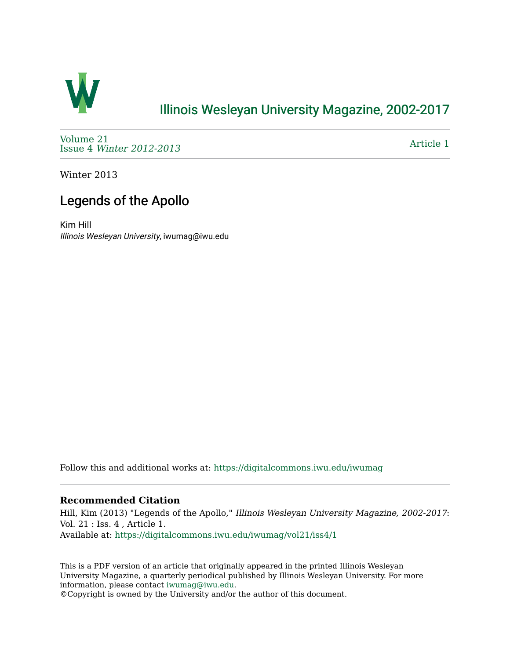

## [Illinois Wesleyan University Magazine, 2002-2017](https://digitalcommons.iwu.edu/iwumag)

[Volume 21](https://digitalcommons.iwu.edu/iwumag/vol21)  Issue 4 [Winter 2012-2013](https://digitalcommons.iwu.edu/iwumag/vol21/iss4)

[Article 1](https://digitalcommons.iwu.edu/iwumag/vol21/iss4/1) 

Winter 2013

## Legends of the Apollo

Kim Hill Illinois Wesleyan University, iwumag@iwu.edu

Follow this and additional works at: [https://digitalcommons.iwu.edu/iwumag](https://digitalcommons.iwu.edu/iwumag?utm_source=digitalcommons.iwu.edu%2Fiwumag%2Fvol21%2Fiss4%2F1&utm_medium=PDF&utm_campaign=PDFCoverPages) 

## **Recommended Citation**

Hill, Kim (2013) "Legends of the Apollo," Illinois Wesleyan University Magazine, 2002-2017: Vol. 21 : Iss. 4 , Article 1. Available at: [https://digitalcommons.iwu.edu/iwumag/vol21/iss4/1](https://digitalcommons.iwu.edu/iwumag/vol21/iss4/1?utm_source=digitalcommons.iwu.edu%2Fiwumag%2Fvol21%2Fiss4%2F1&utm_medium=PDF&utm_campaign=PDFCoverPages)

This is a PDF version of an article that originally appeared in the printed Illinois Wesleyan University Magazine, a quarterly periodical published by Illinois Wesleyan University. For more information, please contact [iwumag@iwu.edu](mailto:iwumag@iwu.edu).

©Copyright is owned by the University and/or the author of this document.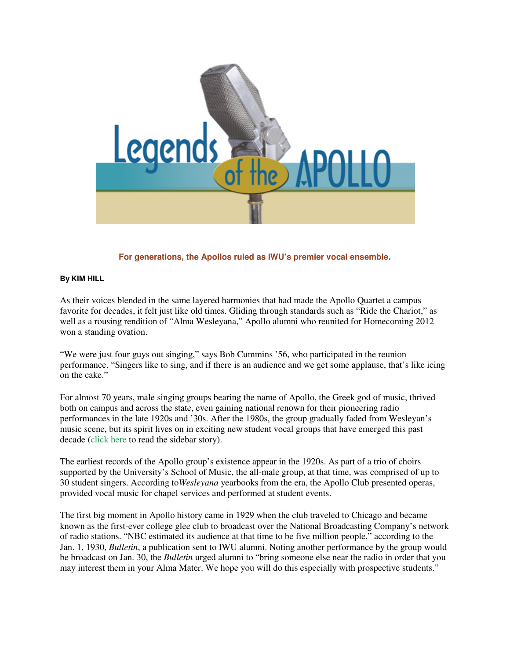

**For generations, the Apollos ruled as IWU's premier vocal ensemble.** 

## **By KIM HILL**

As their voices blended in the same layered harmonies that had made the Apollo Quartet a campus favorite for decades, it felt just like old times. Gliding through standards such as "Ride the Chariot," as well as a rousing rendition of "Alma Wesleyana," Apollo alumni who reunited for Homecoming 2012 won a standing ovation.

"We were just four guys out singing," says Bob Cummins '56, who participated in the reunion performance. "Singers like to sing, and if there is an audience and we get some applause, that's like icing on the cake."

For almost 70 years, male singing groups bearing the name of Apollo, the Greek god of music, thrived both on campus and across the state, even gaining national renown for their pioneering radio performances in the late 1920s and '30s. After the 1980s, the group gradually faded from Wesleyan's music scene, but its spirit lives on in exciting new student vocal groups that have emerged this past decade (click here to read the sidebar story).

The earliest records of the Apollo group's existence appear in the 1920s. As part of a trio of choirs supported by the University's School of Music, the all-male group, at that time, was comprised of up to 30 student singers. According to*Wesleyana* yearbooks from the era, the Apollo Club presented operas, provided vocal music for chapel services and performed at student events.

The first big moment in Apollo history came in 1929 when the club traveled to Chicago and became known as the first-ever college glee club to broadcast over the National Broadcasting Company's network of radio stations. "NBC estimated its audience at that time to be five million people," according to the Jan. 1, 1930, *Bulletin*, a publication sent to IWU alumni. Noting another performance by the group would be broadcast on Jan. 30, the *Bulletin* urged alumni to "bring someone else near the radio in order that you may interest them in your Alma Mater. We hope you will do this especially with prospective students."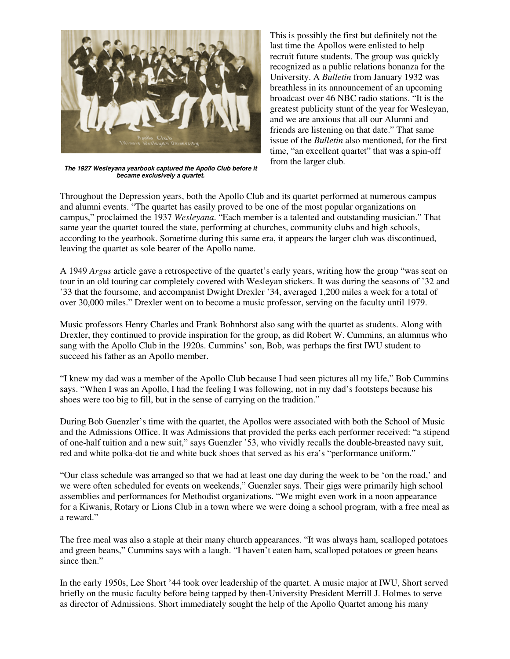

**The 1927 Wesleyana yearbook captured the Apollo Club before it became exclusively a quartet.**

This is possibly the first but definitely not the last time the Apollos were enlisted to help recruit future students. The group was quickly recognized as a public relations bonanza for the University. A *Bulletin* from January 1932 was breathless in its announcement of an upcoming broadcast over 46 NBC radio stations. "It is the greatest publicity stunt of the year for Wesleyan, and we are anxious that all our Alumni and friends are listening on that date." That same issue of the *Bulletin* also mentioned, for the first time, "an excellent quartet" that was a spin-off from the larger club.

Throughout the Depression years, both the Apollo Club and its quartet performed at numerous campus and alumni events. "The quartet has easily proved to be one of the most popular organizations on campus," proclaimed the 1937 *Wesleyana*. "Each member is a talented and outstanding musician." That same year the quartet toured the state, performing at churches, community clubs and high schools, according to the yearbook. Sometime during this same era, it appears the larger club was discontinued, leaving the quartet as sole bearer of the Apollo name.

A 1949 *Argus* article gave a retrospective of the quartet's early years, writing how the group "was sent on tour in an old touring car completely covered with Wesleyan stickers. It was during the seasons of '32 and '33 that the foursome, and accompanist Dwight Drexler '34, averaged 1,200 miles a week for a total of over 30,000 miles." Drexler went on to become a music professor, serving on the faculty until 1979.

Music professors Henry Charles and Frank Bohnhorst also sang with the quartet as students. Along with Drexler, they continued to provide inspiration for the group, as did Robert W. Cummins, an alumnus who sang with the Apollo Club in the 1920s. Cummins' son, Bob, was perhaps the first IWU student to succeed his father as an Apollo member.

"I knew my dad was a member of the Apollo Club because I had seen pictures all my life," Bob Cummins says. "When I was an Apollo, I had the feeling I was following, not in my dad's footsteps because his shoes were too big to fill, but in the sense of carrying on the tradition."

During Bob Guenzler's time with the quartet, the Apollos were associated with both the School of Music and the Admissions Office. It was Admissions that provided the perks each performer received: "a stipend of one-half tuition and a new suit," says Guenzler '53, who vividly recalls the double-breasted navy suit, red and white polka-dot tie and white buck shoes that served as his era's "performance uniform."

"Our class schedule was arranged so that we had at least one day during the week to be 'on the road,' and we were often scheduled for events on weekends," Guenzler says. Their gigs were primarily high school assemblies and performances for Methodist organizations. "We might even work in a noon appearance for a Kiwanis, Rotary or Lions Club in a town where we were doing a school program, with a free meal as a reward."

The free meal was also a staple at their many church appearances. "It was always ham, scalloped potatoes and green beans," Cummins says with a laugh. "I haven't eaten ham, scalloped potatoes or green beans since then."

In the early 1950s, Lee Short '44 took over leadership of the quartet. A music major at IWU, Short served briefly on the music faculty before being tapped by then-University President Merrill J. Holmes to serve as director of Admissions. Short immediately sought the help of the Apollo Quartet among his many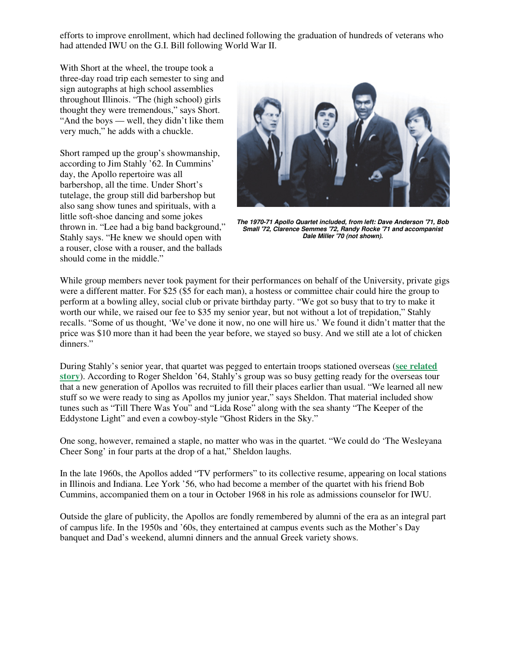efforts to improve enrollment, which had declined following the graduation of hundreds of veterans who had attended IWU on the G.I. Bill following World War II.

With Short at the wheel, the troupe took a three-day road trip each semester to sing and sign autographs at high school assemblies throughout Illinois. "The (high school) girls thought they were tremendous," says Short. "And the boys — well, they didn't like them very much," he adds with a chuckle.

Short ramped up the group's showmanship, according to Jim Stahly '62. In Cummins' day, the Apollo repertoire was all barbershop, all the time. Under Short's tutelage, the group still did barbershop but also sang show tunes and spirituals, with a little soft-shoe dancing and some jokes thrown in. "Lee had a big band background," Stahly says. "He knew we should open with a rouser, close with a rouser, and the ballads should come in the middle."



**The 1970-71 Apollo Quartet included, from left: Dave Anderson '71, Bob Small '72, Clarence Semmes '72, Randy Rocke '71 and accompanist Dale Miller '70 (not shown).**

While group members never took payment for their performances on behalf of the University, private gigs were a different matter. For \$25 (\$5 for each man), a hostess or committee chair could hire the group to perform at a bowling alley, social club or private birthday party. "We got so busy that to try to make it worth our while, we raised our fee to \$35 my senior year, but not without a lot of trepidation," Stahly recalls. "Some of us thought, 'We've done it now, no one will hire us.' We found it didn't matter that the price was \$10 more than it had been the year before, we stayed so busy. And we still ate a lot of chicken dinners."

During Stahly's senior year, that quartet was pegged to entertain troops stationed overseas (**see related story**). According to Roger Sheldon '64, Stahly's group was so busy getting ready for the overseas tour that a new generation of Apollos was recruited to fill their places earlier than usual. "We learned all new stuff so we were ready to sing as Apollos my junior year," says Sheldon. That material included show tunes such as "Till There Was You" and "Lida Rose" along with the sea shanty "The Keeper of the Eddystone Light" and even a cowboy-style "Ghost Riders in the Sky."

One song, however, remained a staple, no matter who was in the quartet. "We could do 'The Wesleyana Cheer Song' in four parts at the drop of a hat," Sheldon laughs.

In the late 1960s, the Apollos added "TV performers" to its collective resume, appearing on local stations in Illinois and Indiana. Lee York '56, who had become a member of the quartet with his friend Bob Cummins, accompanied them on a tour in October 1968 in his role as admissions counselor for IWU.

Outside the glare of publicity, the Apollos are fondly remembered by alumni of the era as an integral part of campus life. In the 1950s and '60s, they entertained at campus events such as the Mother's Day banquet and Dad's weekend, alumni dinners and the annual Greek variety shows.